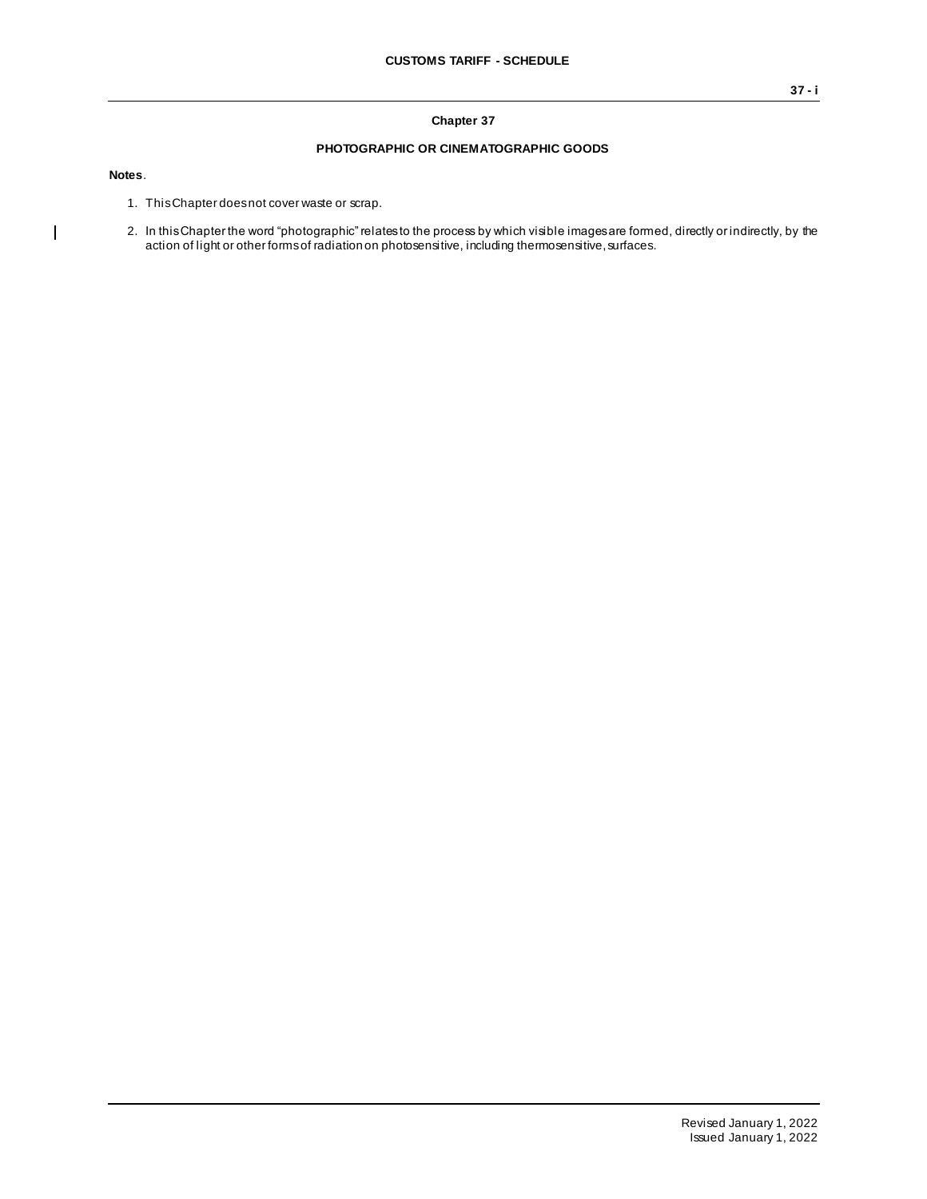## **Chapter 37**

## **PHOTOGRAPHIC OR CINEMATOGRAPHIC GOODS**

**Notes**.

 $\overline{\phantom{a}}$ 

- 1. This Chapter does not cover waste or scrap.
- 2. In this Chapter the word "photographic" relates to the process by which visible images are formed, directly or indirectly, by the action of light or other forms of radiation on photosensitive, including thermosensitive, surfaces.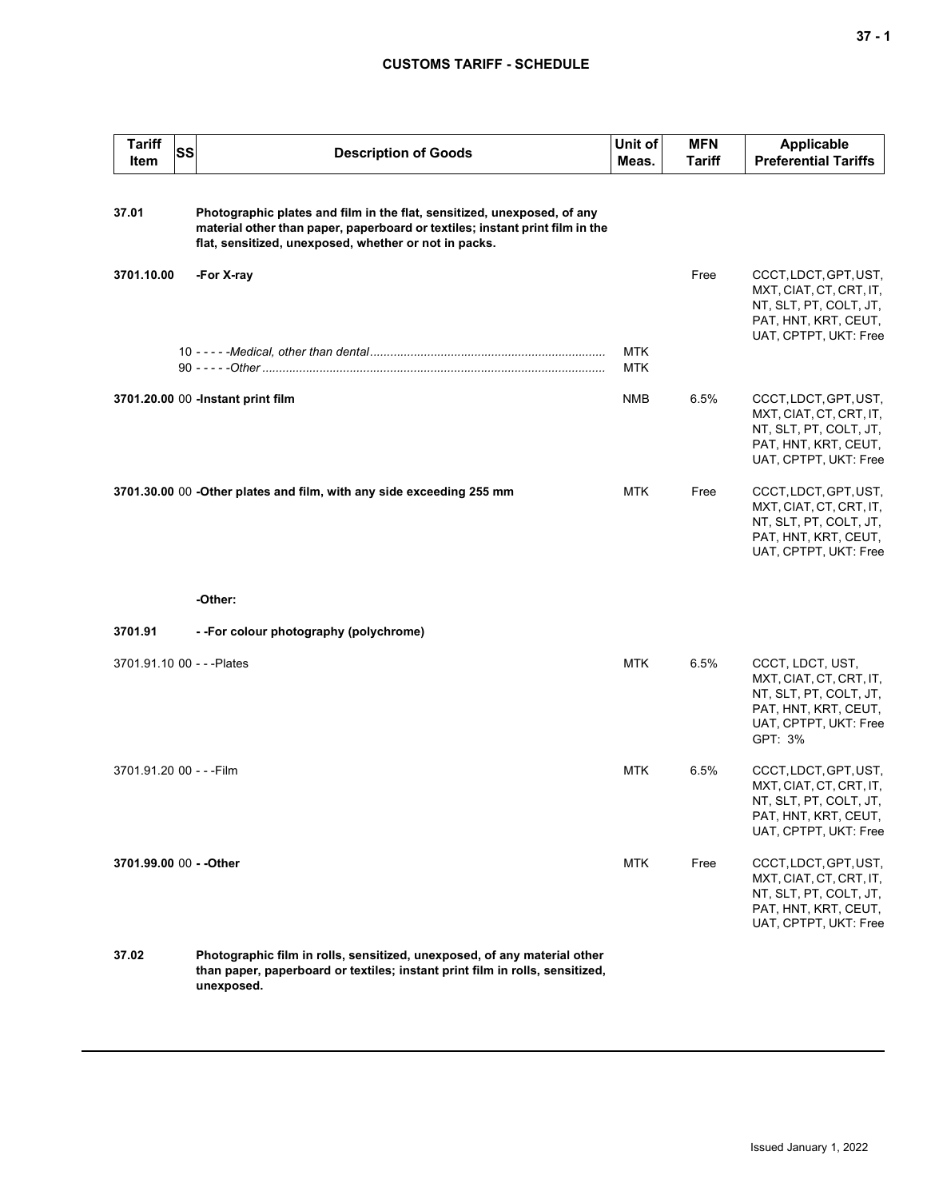## **CUSTOMS TARIFF - SCHEDULE**

| <b>Tariff</b><br>Item      | <b>SS</b> | <b>Description of Goods</b>                                                                                                                                                                                      | Unit of<br>Meas.         | <b>MFN</b><br><b>Tariff</b> | <b>Applicable</b><br><b>Preferential Tariffs</b>                                                                                  |
|----------------------------|-----------|------------------------------------------------------------------------------------------------------------------------------------------------------------------------------------------------------------------|--------------------------|-----------------------------|-----------------------------------------------------------------------------------------------------------------------------------|
| 37.01                      |           | Photographic plates and film in the flat, sensitized, unexposed, of any<br>material other than paper, paperboard or textiles; instant print film in the<br>flat, sensitized, unexposed, whether or not in packs. |                          |                             |                                                                                                                                   |
| 3701.10.00                 |           | -For X-ray                                                                                                                                                                                                       |                          | Free                        | CCCT, LDCT, GPT, UST,<br>MXT, CIAT, CT, CRT, IT,<br>NT, SLT, PT, COLT, JT,<br>PAT, HNT, KRT, CEUT,<br>UAT, CPTPT, UKT: Free       |
|                            |           |                                                                                                                                                                                                                  | <b>MTK</b><br><b>MTK</b> |                             |                                                                                                                                   |
|                            |           | 3701.20.00 00 -Instant print film                                                                                                                                                                                | NMB                      | 6.5%                        | CCCT, LDCT, GPT, UST,<br>MXT, CIAT, CT, CRT, IT,<br>NT, SLT, PT, COLT, JT,<br>PAT, HNT, KRT, CEUT,<br>UAT, CPTPT, UKT: Free       |
|                            |           | 3701.30.00 00 -Other plates and film, with any side exceeding 255 mm                                                                                                                                             | <b>MTK</b>               | Free                        | CCCT, LDCT, GPT, UST,<br>MXT, CIAT, CT, CRT, IT,<br>NT, SLT, PT, COLT, JT,<br>PAT, HNT, KRT, CEUT,<br>UAT, CPTPT, UKT: Free       |
|                            |           | -Other:                                                                                                                                                                                                          |                          |                             |                                                                                                                                   |
| 3701.91                    |           | --For colour photography (polychrome)                                                                                                                                                                            |                          |                             |                                                                                                                                   |
| 3701.91.10 00 - - - Plates |           |                                                                                                                                                                                                                  | <b>MTK</b>               | 6.5%                        | CCCT, LDCT, UST,<br>MXT, CIAT, CT, CRT, IT,<br>NT, SLT, PT, COLT, JT,<br>PAT, HNT, KRT, CEUT,<br>UAT, CPTPT, UKT: Free<br>GPT: 3% |
| 3701.91.20 00 - - - Film   |           |                                                                                                                                                                                                                  | <b>MTK</b>               | 6.5%                        | CCCT, LDCT, GPT, UST,<br>MXT, CIAT, CT, CRT, IT,<br>NT, SLT, PT, COLT, JT,<br>PAT, HNT, KRT, CEUT,<br>UAT, CPTPT, UKT: Free       |
| 3701.99.00 00 - - Other    |           |                                                                                                                                                                                                                  | <b>MTK</b>               | Free                        | CCCT, LDCT, GPT, UST,<br>MXT, CIAT, CT, CRT, IT,<br>NT, SLT, PT, COLT, JT,<br>PAT, HNT, KRT, CEUT,<br>UAT, CPTPT, UKT: Free       |
| 37.02                      |           | Photographic film in rolls, sensitized, unexposed, of any material other<br>than paper, paperboard or textiles; instant print film in rolls, sensitized,<br>unexposed.                                           |                          |                             |                                                                                                                                   |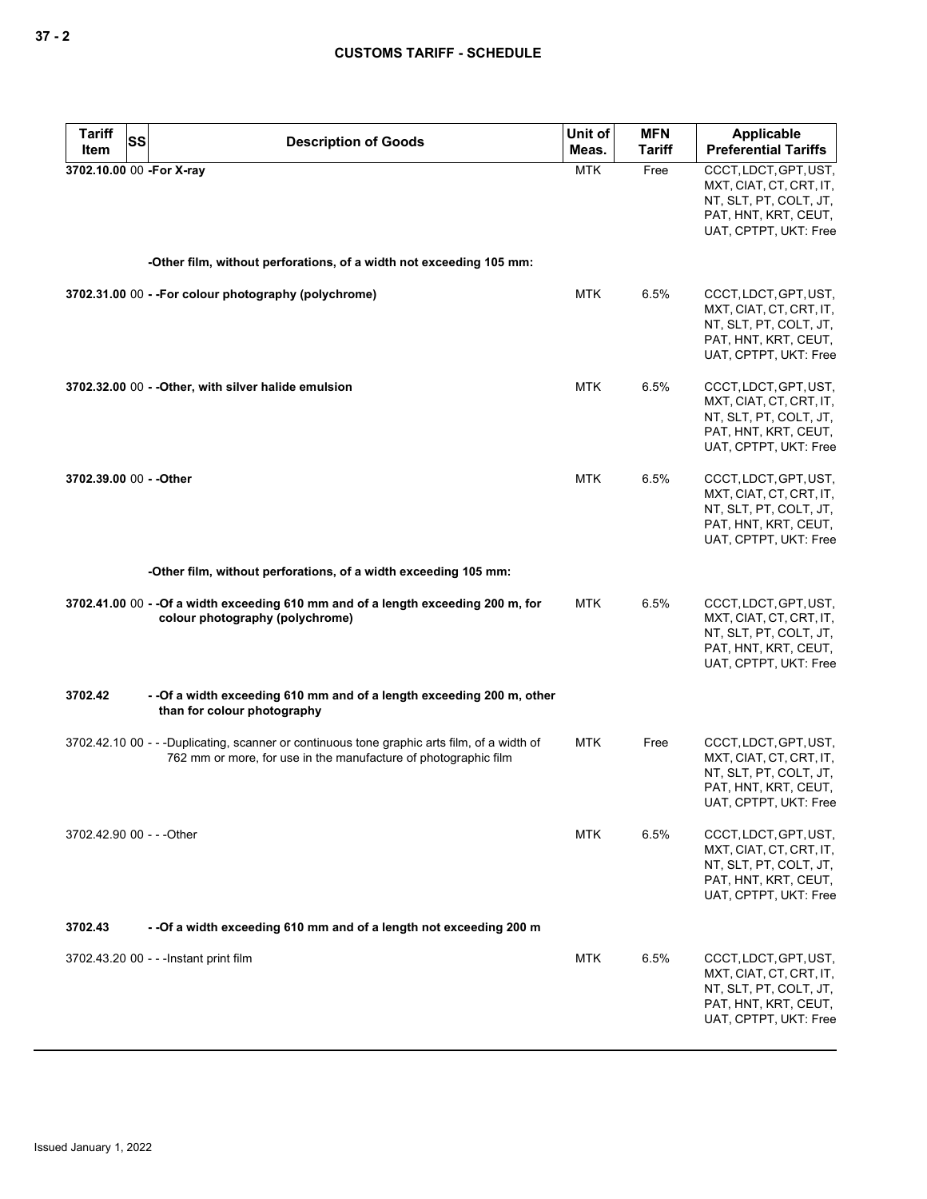| <b>Tariff</b><br>SS<br>Item | <b>Description of Goods</b>                                                                                                                                    | Unit of<br>Meas. | <b>MFN</b><br><b>Tariff</b> | <b>Applicable</b><br><b>Preferential Tariffs</b>                                                                            |
|-----------------------------|----------------------------------------------------------------------------------------------------------------------------------------------------------------|------------------|-----------------------------|-----------------------------------------------------------------------------------------------------------------------------|
| 3702.10.00 00 -For X-ray    |                                                                                                                                                                | <b>MTK</b>       | Free                        | CCCT, LDCT, GPT, UST,<br>MXT, CIAT, CT, CRT, IT,<br>NT, SLT, PT, COLT, JT,<br>PAT, HNT, KRT, CEUT,<br>UAT, CPTPT, UKT: Free |
|                             | -Other film, without perforations, of a width not exceeding 105 mm:                                                                                            |                  |                             |                                                                                                                             |
|                             | 3702.31.00 00 - - For colour photography (polychrome)                                                                                                          | <b>MTK</b>       | 6.5%                        | CCCT, LDCT, GPT, UST,<br>MXT, CIAT, CT, CRT, IT,<br>NT, SLT, PT, COLT, JT,<br>PAT, HNT, KRT, CEUT,<br>UAT, CPTPT, UKT: Free |
|                             | 3702.32.00 00 - - Other, with silver halide emulsion                                                                                                           | <b>MTK</b>       | 6.5%                        | CCCT, LDCT, GPT, UST,<br>MXT, CIAT, CT, CRT, IT,<br>NT, SLT, PT, COLT, JT,<br>PAT, HNT, KRT, CEUT,<br>UAT, CPTPT, UKT: Free |
| 3702.39.00 00 - - Other     |                                                                                                                                                                | <b>MTK</b>       | 6.5%                        | CCCT, LDCT, GPT, UST,<br>MXT, CIAT, CT, CRT, IT,<br>NT, SLT, PT, COLT, JT,<br>PAT, HNT, KRT, CEUT,<br>UAT, CPTPT, UKT: Free |
|                             | -Other film, without perforations, of a width exceeding 105 mm:                                                                                                |                  |                             |                                                                                                                             |
|                             | 3702.41.00 00 - - Of a width exceeding 610 mm and of a length exceeding 200 m, for<br>colour photography (polychrome)                                          | <b>MTK</b>       | 6.5%                        | CCCT, LDCT, GPT, UST,<br>MXT, CIAT, CT, CRT, IT,<br>NT, SLT, PT, COLT, JT,<br>PAT, HNT, KRT, CEUT,<br>UAT, CPTPT, UKT: Free |
| 3702.42                     | - - Of a width exceeding 610 mm and of a length exceeding 200 m, other<br>than for colour photography                                                          |                  |                             |                                                                                                                             |
|                             | 3702.42.10 00 - - -Duplicating, scanner or continuous tone graphic arts film, of a width of<br>762 mm or more, for use in the manufacture of photographic film | <b>MTK</b>       | Free                        | CCCT, LDCT, GPT, UST,<br>MXT, CIAT, CT, CRT, IT,<br>NT, SLT, PT, COLT, JT,<br>PAT, HNT, KRT, CEUT,<br>UAT, CPTPT, UKT: Free |
| 3702.42.90 00 - - - Other   |                                                                                                                                                                | <b>MTK</b>       | 6.5%                        | CCCT, LDCT, GPT, UST,<br>MXT, CIAT, CT, CRT, IT,<br>NT, SLT, PT, COLT, JT,<br>PAT, HNT, KRT, CEUT,<br>UAT, CPTPT, UKT: Free |
| 3702.43                     | - - Of a width exceeding 610 mm and of a length not exceeding 200 m                                                                                            |                  |                             |                                                                                                                             |
|                             | 3702.43.20 00 - - - Instant print film                                                                                                                         | <b>MTK</b>       | 6.5%                        | CCCT, LDCT, GPT, UST,<br>MXT, CIAT, CT, CRT, IT,<br>NT, SLT, PT, COLT, JT,<br>PAT, HNT, KRT, CEUT,<br>UAT, CPTPT, UKT: Free |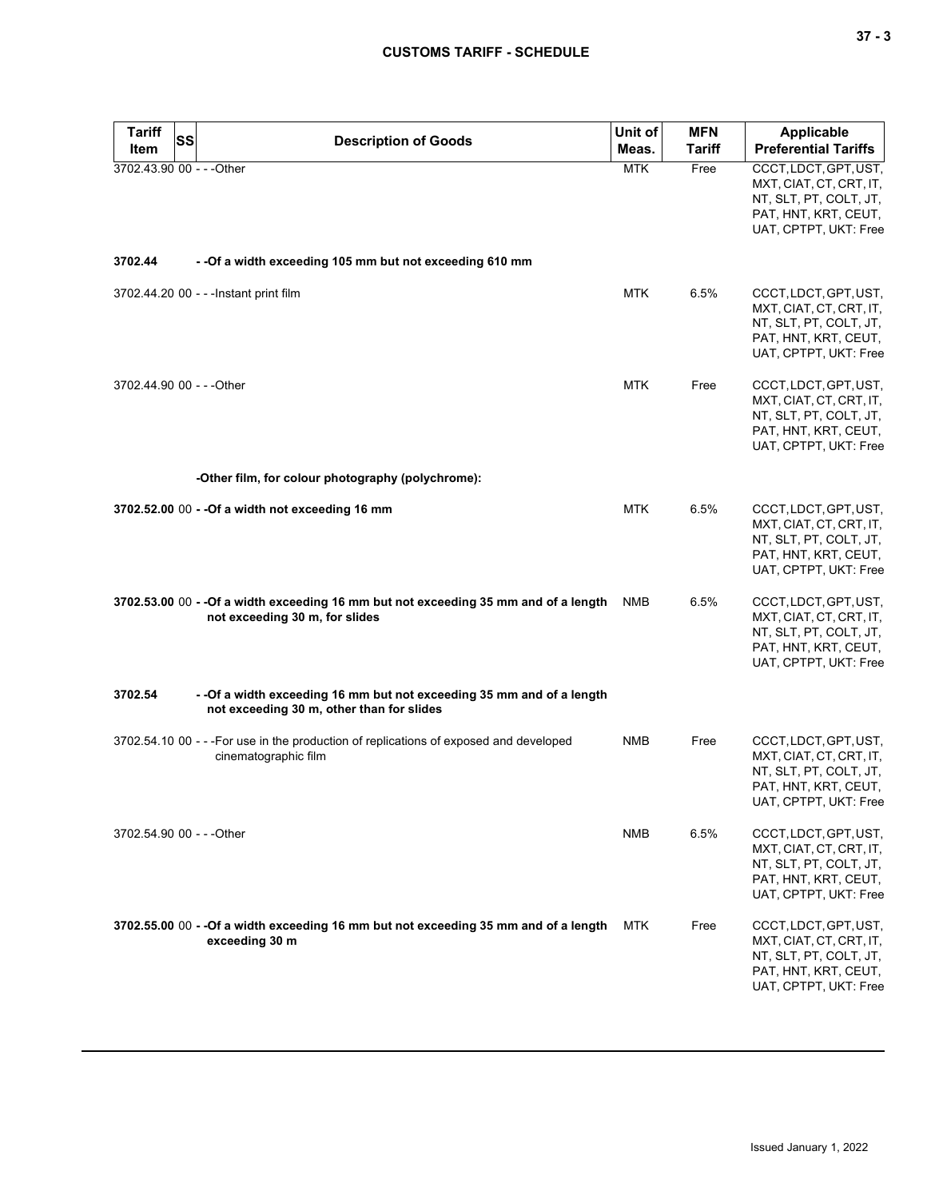| <b>Tariff</b><br><b>Item</b> | <b>SS</b> | <b>Description of Goods</b>                                                                                            | Unit of<br>Meas. | <b>MFN</b><br><b>Tariff</b> | Applicable<br><b>Preferential Tariffs</b>                                                                                   |
|------------------------------|-----------|------------------------------------------------------------------------------------------------------------------------|------------------|-----------------------------|-----------------------------------------------------------------------------------------------------------------------------|
| 3702.43.90 00 - - - Other    |           |                                                                                                                        | <b>MTK</b>       | Free                        | CCCT, LDCT, GPT, UST,<br>MXT, CIAT, CT, CRT, IT,<br>NT, SLT, PT, COLT, JT,<br>PAT, HNT, KRT, CEUT,<br>UAT, CPTPT, UKT: Free |
| 3702.44                      |           | - - Of a width exceeding 105 mm but not exceeding 610 mm                                                               |                  |                             |                                                                                                                             |
|                              |           | 3702.44.20 00 - - - Instant print film                                                                                 | <b>MTK</b>       | 6.5%                        | CCCT, LDCT, GPT, UST,<br>MXT, CIAT, CT, CRT, IT,<br>NT, SLT, PT, COLT, JT,<br>PAT, HNT, KRT, CEUT,<br>UAT, CPTPT, UKT: Free |
| 3702.44.90 00 - - - Other    |           |                                                                                                                        | <b>MTK</b>       | Free                        | CCCT, LDCT, GPT, UST,<br>MXT, CIAT, CT, CRT, IT,<br>NT, SLT, PT, COLT, JT,<br>PAT, HNT, KRT, CEUT,<br>UAT, CPTPT, UKT: Free |
|                              |           | -Other film, for colour photography (polychrome):                                                                      |                  |                             |                                                                                                                             |
|                              |           | 3702.52.00 00 - - Of a width not exceeding 16 mm                                                                       | <b>MTK</b>       | 6.5%                        | CCCT, LDCT, GPT, UST,<br>MXT, CIAT, CT, CRT, IT,<br>NT, SLT, PT, COLT, JT,<br>PAT, HNT, KRT, CEUT,<br>UAT, CPTPT, UKT: Free |
|                              |           | 3702.53.00 00 - - Of a width exceeding 16 mm but not exceeding 35 mm and of a length<br>not exceeding 30 m, for slides | <b>NMB</b>       | 6.5%                        | CCCT, LDCT, GPT, UST,<br>MXT, CIAT, CT, CRT, IT,<br>NT, SLT, PT, COLT, JT,<br>PAT, HNT, KRT, CEUT,<br>UAT, CPTPT, UKT: Free |
| 3702.54                      |           | - - Of a width exceeding 16 mm but not exceeding 35 mm and of a length<br>not exceeding 30 m, other than for slides    |                  |                             |                                                                                                                             |
|                              |           | 3702.54.10 00 - - - For use in the production of replications of exposed and developed<br>cinematographic film         | <b>NMB</b>       | Free                        | CCCT, LDCT, GPT, UST,<br>MXT, CIAT, CT, CRT, IT,<br>NT, SLT, PT, COLT, JT,<br>PAT, HNT, KRT, CEUT,<br>UAT, CPTPT, UKT: Free |
| 3702.54.90 00 - - - Other    |           |                                                                                                                        | NMB              | 6.5%                        | CCCT, LDCT, GPT, UST,<br>MXT, CIAT, CT, CRT, IT,<br>NT, SLT, PT, COLT, JT,<br>PAT, HNT, KRT, CEUT,<br>UAT, CPTPT, UKT: Free |
|                              |           | 3702.55.00 00 - - Of a width exceeding 16 mm but not exceeding 35 mm and of a length<br>exceeding 30 m                 | MTK              | Free                        | CCCT, LDCT, GPT, UST,<br>MXT, CIAT, CT, CRT, IT,<br>NT, SLT, PT, COLT, JT,<br>PAT, HNT, KRT, CEUT,<br>UAT, CPTPT, UKT: Free |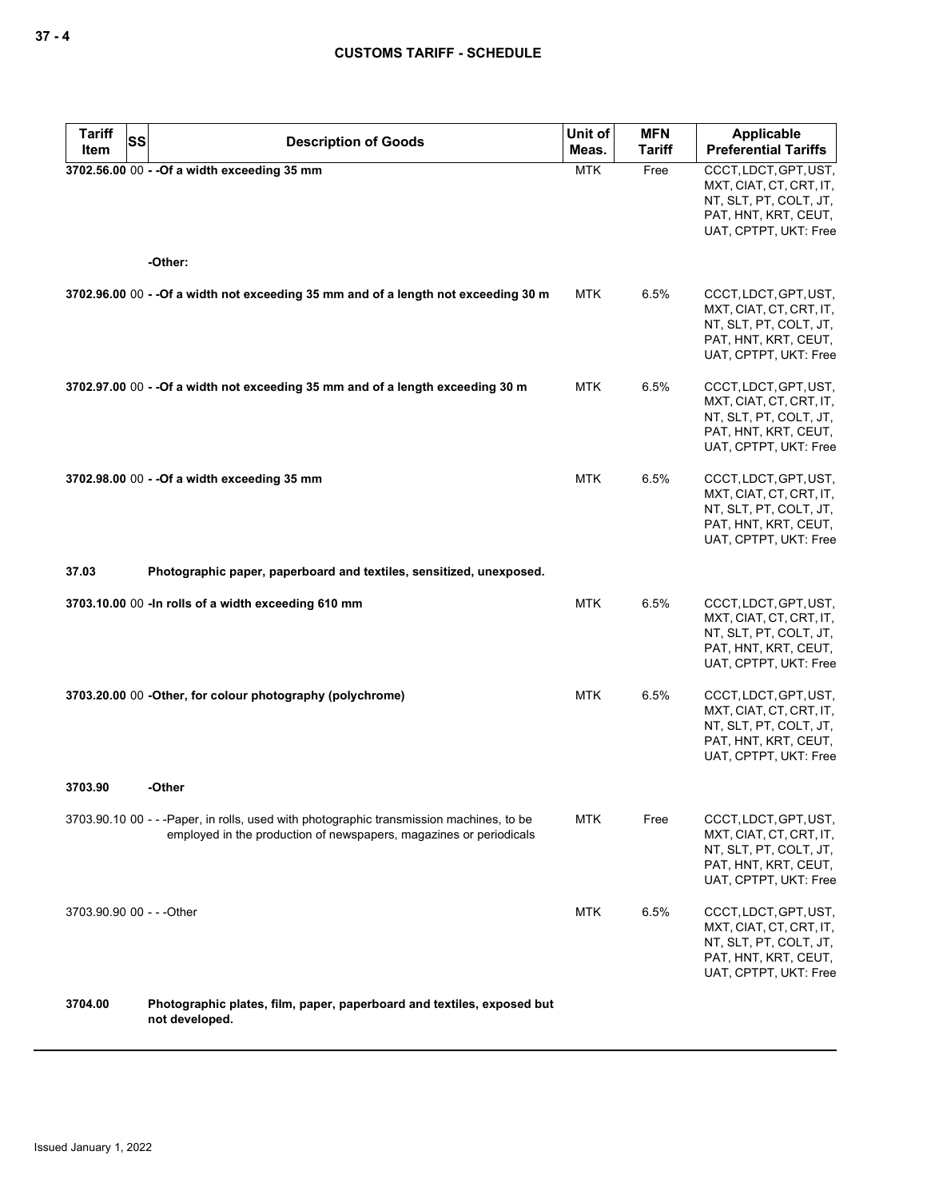| <b>Tariff</b>             | <b>SS</b><br><b>Description of Goods</b>                                                                                                                      | Unit of    | <b>MFN</b>    | <b>Applicable</b>                                                                                                           |
|---------------------------|---------------------------------------------------------------------------------------------------------------------------------------------------------------|------------|---------------|-----------------------------------------------------------------------------------------------------------------------------|
| Item                      |                                                                                                                                                               | Meas.      | <b>Tariff</b> | <b>Preferential Tariffs</b>                                                                                                 |
|                           | 3702.56.00 00 - - Of a width exceeding 35 mm                                                                                                                  | <b>MTK</b> | Free          | CCCT, LDCT, GPT, UST,<br>MXT, CIAT, CT, CRT, IT,<br>NT, SLT, PT, COLT, JT,<br>PAT, HNT, KRT, CEUT,<br>UAT, CPTPT, UKT: Free |
|                           | -Other:                                                                                                                                                       |            |               |                                                                                                                             |
|                           | 3702.96.00 00 - - Of a width not exceeding 35 mm and of a length not exceeding 30 m                                                                           | <b>MTK</b> | 6.5%          | CCCT, LDCT, GPT, UST,<br>MXT, CIAT, CT, CRT, IT,<br>NT, SLT, PT, COLT, JT,<br>PAT, HNT, KRT, CEUT,<br>UAT, CPTPT, UKT: Free |
|                           | 3702.97.00 00 - - Of a width not exceeding 35 mm and of a length exceeding 30 m                                                                               | <b>MTK</b> | 6.5%          | CCCT, LDCT, GPT, UST,<br>MXT, CIAT, CT, CRT, IT,<br>NT, SLT, PT, COLT, JT,<br>PAT, HNT, KRT, CEUT,<br>UAT, CPTPT, UKT: Free |
|                           | 3702.98.00 00 - - Of a width exceeding 35 mm                                                                                                                  | <b>MTK</b> | 6.5%          | CCCT, LDCT, GPT, UST,<br>MXT, CIAT, CT, CRT, IT,<br>NT, SLT, PT, COLT, JT,<br>PAT, HNT, KRT, CEUT,<br>UAT, CPTPT, UKT: Free |
| 37.03                     | Photographic paper, paperboard and textiles, sensitized, unexposed.                                                                                           |            |               |                                                                                                                             |
|                           | 3703.10.00 00 -In rolls of a width exceeding 610 mm                                                                                                           | <b>MTK</b> | 6.5%          | CCCT, LDCT, GPT, UST,<br>MXT, CIAT, CT, CRT, IT,<br>NT, SLT, PT, COLT, JT,<br>PAT, HNT, KRT, CEUT,<br>UAT, CPTPT, UKT: Free |
|                           | 3703.20.00 00 - Other, for colour photography (polychrome)                                                                                                    | <b>MTK</b> | 6.5%          | CCCT, LDCT, GPT, UST,<br>MXT, CIAT, CT, CRT, IT,<br>NT, SLT, PT, COLT, JT,<br>PAT, HNT, KRT, CEUT,<br>UAT, CPTPT, UKT: Free |
| 3703.90                   | -Other                                                                                                                                                        |            |               |                                                                                                                             |
|                           | 3703.90.10 00 - - -Paper, in rolls, used with photographic transmission machines, to be<br>employed in the production of newspapers, magazines or periodicals | <b>MTK</b> | Free          | CCCT, LDCT, GPT, UST,<br>MXT, CIAT, CT, CRT, IT,<br>NT, SLT, PT, COLT, JT,<br>PAT, HNT, KRT, CEUT,<br>UAT, CPTPT, UKT: Free |
| 3703.90.90 00 - - - Other |                                                                                                                                                               | <b>MTK</b> | 6.5%          | CCCT, LDCT, GPT, UST,<br>MXT, CIAT, CT, CRT, IT,<br>NT, SLT, PT, COLT, JT,<br>PAT, HNT, KRT, CEUT,<br>UAT, CPTPT, UKT: Free |
| 3704.00                   | Photographic plates, film, paper, paperboard and textiles, exposed but<br>not developed.                                                                      |            |               |                                                                                                                             |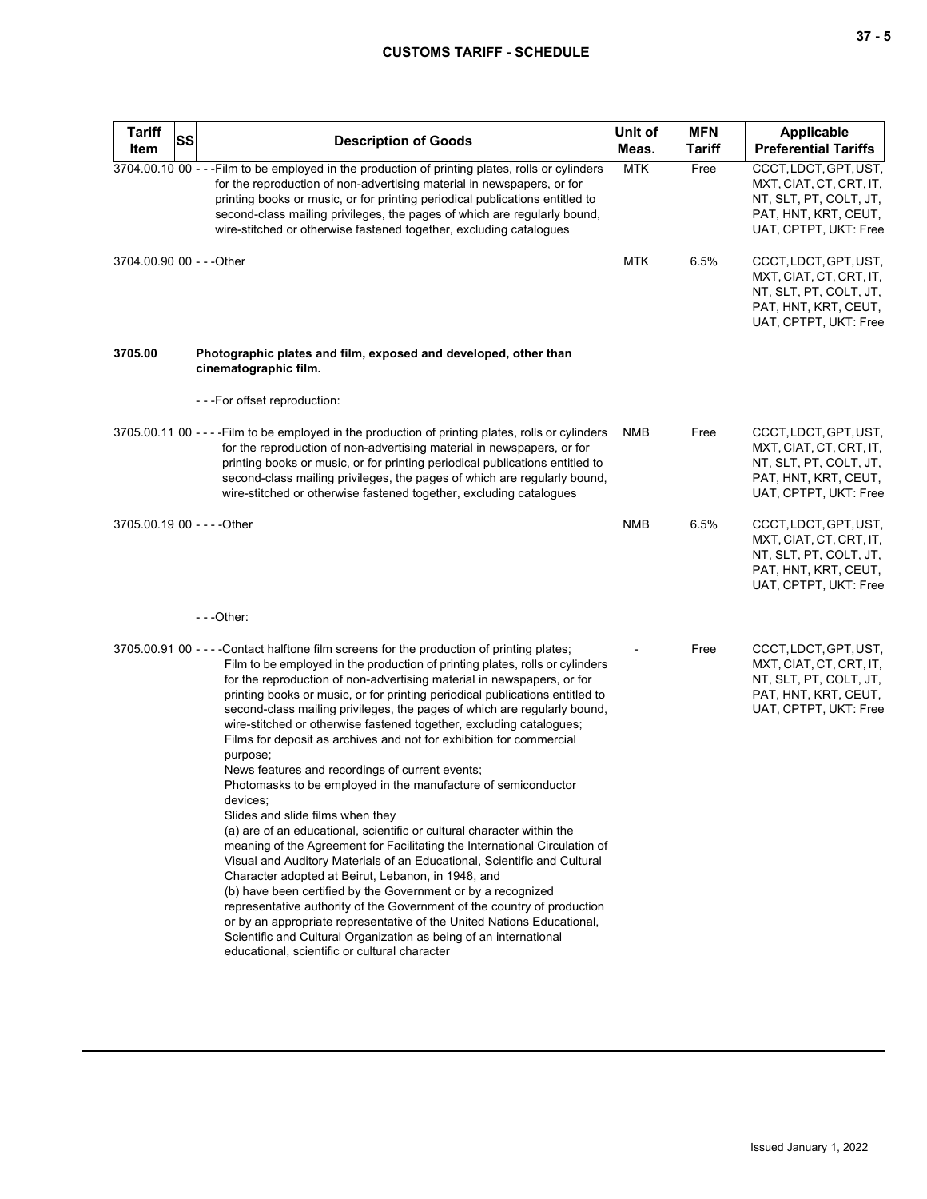## **CUSTOMS TARIFF - SCHEDULE**

| <b>Tariff</b><br><b>SS</b><br>Item | <b>Description of Goods</b>                                                                                                                                                                                                                                                                                                                                                                                                                                                                                                                                                                                                                                                                                                                                                                                                                                                                                                                                                                                                                                                                                                                                                                                                                                                                                                                                                         | Unit of<br>Meas. | <b>MFN</b><br><b>Tariff</b> | Applicable<br><b>Preferential Tariffs</b>                                                                                   |
|------------------------------------|-------------------------------------------------------------------------------------------------------------------------------------------------------------------------------------------------------------------------------------------------------------------------------------------------------------------------------------------------------------------------------------------------------------------------------------------------------------------------------------------------------------------------------------------------------------------------------------------------------------------------------------------------------------------------------------------------------------------------------------------------------------------------------------------------------------------------------------------------------------------------------------------------------------------------------------------------------------------------------------------------------------------------------------------------------------------------------------------------------------------------------------------------------------------------------------------------------------------------------------------------------------------------------------------------------------------------------------------------------------------------------------|------------------|-----------------------------|-----------------------------------------------------------------------------------------------------------------------------|
|                                    | 3704.00.10 00 - - - Film to be employed in the production of printing plates, rolls or cylinders<br>for the reproduction of non-advertising material in newspapers, or for<br>printing books or music, or for printing periodical publications entitled to<br>second-class mailing privileges, the pages of which are regularly bound,<br>wire-stitched or otherwise fastened together, excluding catalogues                                                                                                                                                                                                                                                                                                                                                                                                                                                                                                                                                                                                                                                                                                                                                                                                                                                                                                                                                                        | <b>MTK</b>       | Free                        | CCCT, LDCT, GPT, UST,<br>MXT, CIAT, CT, CRT, IT,<br>NT, SLT, PT, COLT, JT,<br>PAT, HNT, KRT, CEUT,<br>UAT, CPTPT, UKT: Free |
| 3704.00.90 00 - - - Other          |                                                                                                                                                                                                                                                                                                                                                                                                                                                                                                                                                                                                                                                                                                                                                                                                                                                                                                                                                                                                                                                                                                                                                                                                                                                                                                                                                                                     | <b>MTK</b>       | 6.5%                        | CCCT, LDCT, GPT, UST,<br>MXT, CIAT, CT, CRT, IT,<br>NT, SLT, PT, COLT, JT,<br>PAT, HNT, KRT, CEUT,<br>UAT, CPTPT, UKT: Free |
| 3705.00                            | Photographic plates and film, exposed and developed, other than<br>cinematographic film.                                                                                                                                                                                                                                                                                                                                                                                                                                                                                                                                                                                                                                                                                                                                                                                                                                                                                                                                                                                                                                                                                                                                                                                                                                                                                            |                  |                             |                                                                                                                             |
|                                    | ---For offset reproduction:                                                                                                                                                                                                                                                                                                                                                                                                                                                                                                                                                                                                                                                                                                                                                                                                                                                                                                                                                                                                                                                                                                                                                                                                                                                                                                                                                         |                  |                             |                                                                                                                             |
|                                    | 3705.00.11 00 - - - - Film to be employed in the production of printing plates, rolls or cylinders<br>for the reproduction of non-advertising material in newspapers, or for<br>printing books or music, or for printing periodical publications entitled to<br>second-class mailing privileges, the pages of which are regularly bound,<br>wire-stitched or otherwise fastened together, excluding catalogues                                                                                                                                                                                                                                                                                                                                                                                                                                                                                                                                                                                                                                                                                                                                                                                                                                                                                                                                                                      | NMB              | Free                        | CCCT, LDCT, GPT, UST,<br>MXT, CIAT, CT, CRT, IT,<br>NT, SLT, PT, COLT, JT,<br>PAT, HNT, KRT, CEUT,<br>UAT, CPTPT, UKT: Free |
| 3705.00.19 00 - - - - Other        |                                                                                                                                                                                                                                                                                                                                                                                                                                                                                                                                                                                                                                                                                                                                                                                                                                                                                                                                                                                                                                                                                                                                                                                                                                                                                                                                                                                     | <b>NMB</b>       | 6.5%                        | CCCT, LDCT, GPT, UST,<br>MXT, CIAT, CT, CRT, IT,<br>NT, SLT, PT, COLT, JT,<br>PAT, HNT, KRT, CEUT,<br>UAT, CPTPT, UKT: Free |
|                                    | $- -$ Other:                                                                                                                                                                                                                                                                                                                                                                                                                                                                                                                                                                                                                                                                                                                                                                                                                                                                                                                                                                                                                                                                                                                                                                                                                                                                                                                                                                        |                  |                             |                                                                                                                             |
|                                    | 3705.00.91 00 - - - - Contact halftone film screens for the production of printing plates;<br>Film to be employed in the production of printing plates, rolls or cylinders<br>for the reproduction of non-advertising material in newspapers, or for<br>printing books or music, or for printing periodical publications entitled to<br>second-class mailing privileges, the pages of which are regularly bound,<br>wire-stitched or otherwise fastened together, excluding catalogues;<br>Films for deposit as archives and not for exhibition for commercial<br>purpose;<br>News features and recordings of current events;<br>Photomasks to be employed in the manufacture of semiconductor<br>devices;<br>Slides and slide films when they<br>(a) are of an educational, scientific or cultural character within the<br>meaning of the Agreement for Facilitating the International Circulation of<br>Visual and Auditory Materials of an Educational, Scientific and Cultural<br>Character adopted at Beirut, Lebanon, in 1948, and<br>(b) have been certified by the Government or by a recognized<br>representative authority of the Government of the country of production<br>or by an appropriate representative of the United Nations Educational,<br>Scientific and Cultural Organization as being of an international<br>educational, scientific or cultural character |                  | Free                        | CCCT, LDCT, GPT, UST,<br>MXT, CIAT, CT, CRT, IT,<br>NT, SLT, PT, COLT, JT,<br>PAT, HNT, KRT, CEUT,<br>UAT, CPTPT, UKT: Free |